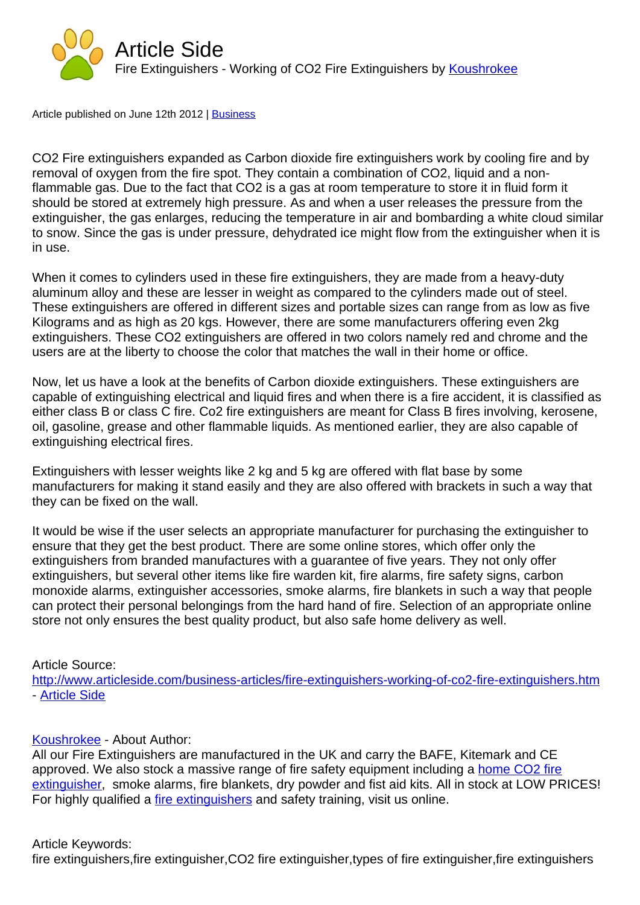## Article Side

Fire Extinguishers - Working of CO2 Fire Extinguishers by Koushrokee

Article published on June 12th 2012 | Business

CO2 Fire extinguishers expanded as Carbon dioxide fire extinguishers work by cooling fire and by removal of oxygen from the fire [spot. Th](http://www.articleside.com/business-articles)ey contain a combination of CO2, liquid and a nonflammable gas. Due to the fact that CO2 is a gas at room temperature to store it in fluid form it should be stored at extremely high pressure. As and when a user releases the pressure from the extinguisher, the gas enlarges, reducing the temperature in air and bombarding a white cloud similar to snow. Since the gas is under pressure, dehydrated ice might flow from the extinguisher when it is in use.

When it comes to cylinders used in these fire extinguishers, they are made from a heavy-duty aluminum alloy and these are lesser in weight as compared to the cylinders made out of steel. These extinguishers are offered in different sizes and portable sizes can range from as low as five Kilograms and as high as 20 kgs. However, there are some manufacturers offering even 2kg extinguishers. These CO2 extinguishers are offered in two colors namely red and chrome and the users are at the liberty to choose the color that matches the wall in their home or office.

Now, let us have a look at the benefits of Carbon dioxide extinguishers. These extinguishers are capable of extinguishing electrical and liquid fires and when there is a fire accident, it is classified as either class B or class C fire. Co2 fire extinguishers are meant for Class B fires involving, kerosene, oil, gasoline, grease and other flammable liquids. As mentioned earlier, they are also capable of extinguishing electrical fires.

Extinguishers with lesser weights like 2 kg and 5 kg are offered with flat base by some manufacturers for making it stand easily and they are also offered with brackets in such a way that they can be fixed on the wall.

It would be wise if the user selects an appropriate manufacturer for purchasing the extinguisher to ensure that they get the best product. There are some online stores, which offer only the extinguishers from branded manufactures with a guarantee of five years. They not only offer extinguishers, but several other items like fire warden kit, fire alarms, fire safety signs, carbon monoxide alarms, extinguisher accessories, smoke alarms, fire blankets in such a way that people can protect their personal belongings from the hard hand of fire. Selection of an appropriate online store not only ensures the best quality product, but also safe home delivery as well.

## Article Source:

http://www.articleside.com/business-articles/fire-extinguishers-working-of-co2-fire-extinguishers.htm - Article Side

## [Koushrokee - About Author:](http://www.articleside.com/business-articles/fire-extinguishers-working-of-co2-fire-extinguishers.htm)

[All our Fire E](http://www.articleside.com)xtinguishers are manufactured in the UK and carry the BAFE, Kitemark and CE approved. We also stock a massive range of fire safety equipment including a home CO2 fire extinguisher, smoke alarms, fire blankets, dry powder and fist aid kits. All in stock at LOW PRICES! [For highly qu](http://www.articleside.com/author/koushrokee)alified a *fire extinguishers* and safety training, visit us online.

## [Article Keyw](http://www.fire-safety-equipment.co.uk/)ords:

fire extinguishers,fire [extinguisher,CO2](http://www.fire-safety-equipment.co.uk/) fire extinguisher,types of fire extinguisher,fire extinguishers